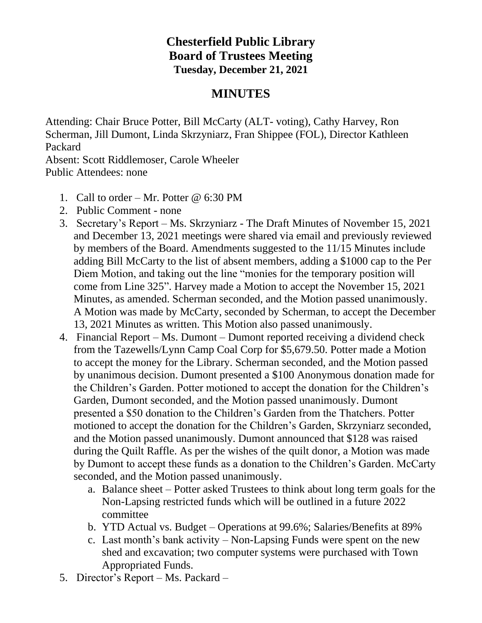## **Chesterfield Public Library Board of Trustees Meeting Tuesday, December 21, 2021**

## **MINUTES**

Attending: Chair Bruce Potter, Bill McCarty (ALT- voting), Cathy Harvey, Ron Scherman, Jill Dumont, Linda Skrzyniarz, Fran Shippee (FOL), Director Kathleen Packard

Absent: Scott Riddlemoser, Carole Wheeler Public Attendees: none

- 1. Call to order Mr. Potter  $\omega$  6:30 PM
- 2. Public Comment none
- 3. Secretary's Report Ms. Skrzyniarz The Draft Minutes of November 15, 2021 and December 13, 2021 meetings were shared via email and previously reviewed by members of the Board. Amendments suggested to the 11/15 Minutes include adding Bill McCarty to the list of absent members, adding a \$1000 cap to the Per Diem Motion, and taking out the line "monies for the temporary position will come from Line 325". Harvey made a Motion to accept the November 15, 2021 Minutes, as amended. Scherman seconded, and the Motion passed unanimously. A Motion was made by McCarty, seconded by Scherman, to accept the December 13, 2021 Minutes as written. This Motion also passed unanimously.
- 4. Financial Report Ms. Dumont Dumont reported receiving a dividend check from the Tazewells/Lynn Camp Coal Corp for \$5,679.50. Potter made a Motion to accept the money for the Library. Scherman seconded, and the Motion passed by unanimous decision. Dumont presented a \$100 Anonymous donation made for the Children's Garden. Potter motioned to accept the donation for the Children's Garden, Dumont seconded, and the Motion passed unanimously. Dumont presented a \$50 donation to the Children's Garden from the Thatchers. Potter motioned to accept the donation for the Children's Garden, Skrzyniarz seconded, and the Motion passed unanimously. Dumont announced that \$128 was raised during the Quilt Raffle. As per the wishes of the quilt donor, a Motion was made by Dumont to accept these funds as a donation to the Children's Garden. McCarty seconded, and the Motion passed unanimously.
	- a. Balance sheet Potter asked Trustees to think about long term goals for the Non-Lapsing restricted funds which will be outlined in a future 2022 committee
	- b. YTD Actual vs. Budget Operations at 99.6%; Salaries/Benefits at 89%
	- c. Last month's bank activity Non-Lapsing Funds were spent on the new shed and excavation; two computer systems were purchased with Town Appropriated Funds.
- 5. Director's Report Ms. Packard –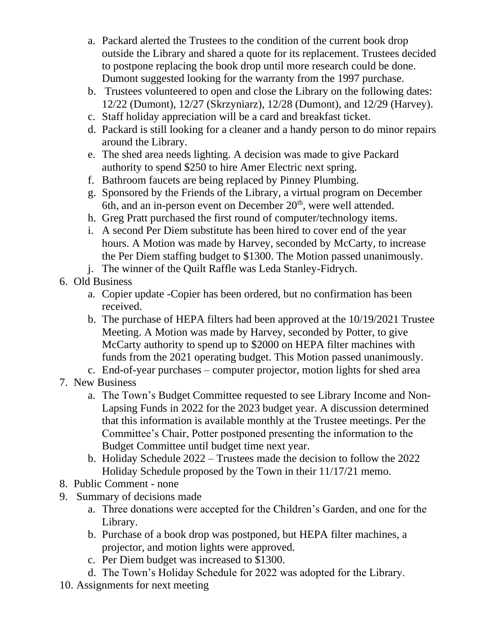- a. Packard alerted the Trustees to the condition of the current book drop outside the Library and shared a quote for its replacement. Trustees decided to postpone replacing the book drop until more research could be done. Dumont suggested looking for the warranty from the 1997 purchase.
- b. Trustees volunteered to open and close the Library on the following dates: 12/22 (Dumont), 12/27 (Skrzyniarz), 12/28 (Dumont), and 12/29 (Harvey).
- c. Staff holiday appreciation will be a card and breakfast ticket.
- d. Packard is still looking for a cleaner and a handy person to do minor repairs around the Library.
- e. The shed area needs lighting. A decision was made to give Packard authority to spend \$250 to hire Amer Electric next spring.
- f. Bathroom faucets are being replaced by Pinney Plumbing.
- g. Sponsored by the Friends of the Library, a virtual program on December 6th, and an in-person event on December 20<sup>th</sup>, were well attended.
- h. Greg Pratt purchased the first round of computer/technology items.
- i. A second Per Diem substitute has been hired to cover end of the year hours. A Motion was made by Harvey, seconded by McCarty, to increase the Per Diem staffing budget to \$1300. The Motion passed unanimously.
- j. The winner of the Quilt Raffle was Leda Stanley-Fidrych.
- 6. Old Business
	- a. Copier update -Copier has been ordered, but no confirmation has been received.
	- b. The purchase of HEPA filters had been approved at the 10/19/2021 Trustee Meeting. A Motion was made by Harvey, seconded by Potter, to give McCarty authority to spend up to \$2000 on HEPA filter machines with funds from the 2021 operating budget. This Motion passed unanimously.
	- c. End-of-year purchases computer projector, motion lights for shed area
- 7. New Business
	- a. The Town's Budget Committee requested to see Library Income and Non-Lapsing Funds in 2022 for the 2023 budget year. A discussion determined that this information is available monthly at the Trustee meetings. Per the Committee's Chair, Potter postponed presenting the information to the Budget Committee until budget time next year.
	- b. Holiday Schedule 2022 Trustees made the decision to follow the 2022 Holiday Schedule proposed by the Town in their 11/17/21 memo.
- 8. Public Comment none
- 9. Summary of decisions made
	- a. Three donations were accepted for the Children's Garden, and one for the Library.
	- b. Purchase of a book drop was postponed, but HEPA filter machines, a projector, and motion lights were approved.
	- c. Per Diem budget was increased to \$1300.
	- d. The Town's Holiday Schedule for 2022 was adopted for the Library.
- 10. Assignments for next meeting